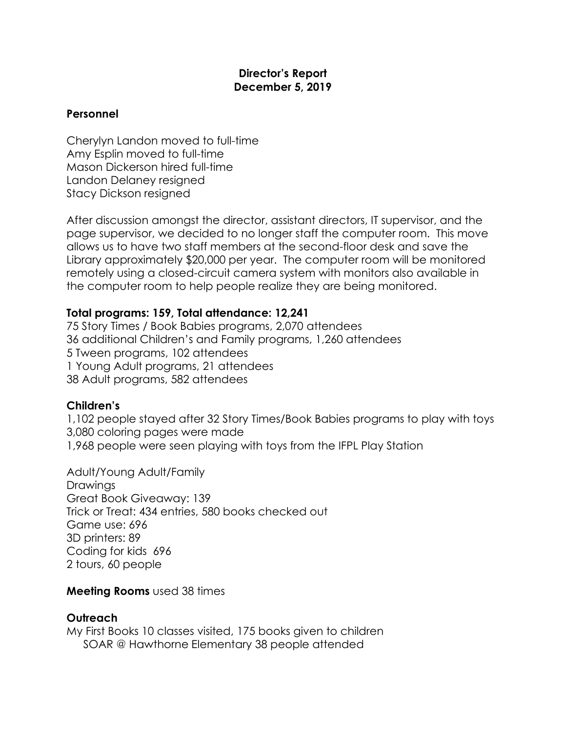## **Director's Report December 5, 2019**

## **Personnel**

Cherylyn Landon moved to full-time Amy Esplin moved to full-time Mason Dickerson hired full-time Landon Delaney resigned Stacy Dickson resigned

After discussion amongst the director, assistant directors, IT supervisor, and the page supervisor, we decided to no longer staff the computer room. This move allows us to have two staff members at the second-floor desk and save the Library approximately \$20,000 per year. The computer room will be monitored remotely using a closed-circuit camera system with monitors also available in the computer room to help people realize they are being monitored.

# **Total programs: 159, Total attendance: 12,241**

75 Story Times / Book Babies programs, 2,070 attendees 36 additional Children's and Family programs, 1,260 attendees 5 Tween programs, 102 attendees 1 Young Adult programs, 21 attendees 38 Adult programs, 582 attendees

### **Children's**

1,102 people stayed after 32 Story Times/Book Babies programs to play with toys 3,080 coloring pages were made 1,968 people were seen playing with toys from the IFPL Play Station

Adult/Young Adult/Family Drawings Great Book Giveaway: 139 Trick or Treat: 434 entries, 580 books checked out Game use: 696 3D printers: 89 Coding for kids 696 2 tours, 60 people

### **Meeting Rooms** used 38 times

# **Outreach**

My First Books 10 classes visited, 175 books given to children SOAR @ Hawthorne Elementary 38 people attended